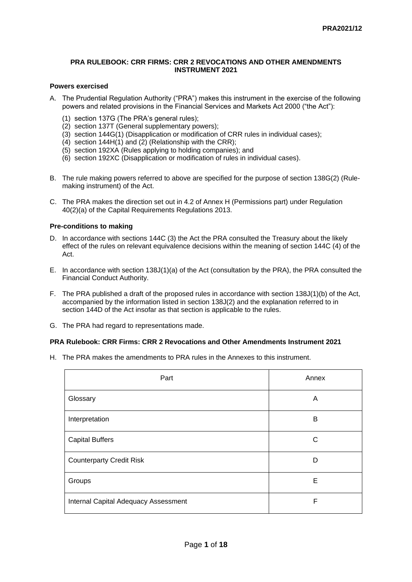#### **PRA RULEBOOK: CRR FIRMS: CRR 2 REVOCATIONS AND OTHER AMENDMENTS INSTRUMENT 2021**

#### **Powers exercised**

- A. The Prudential Regulation Authority ("PRA") makes this instrument in the exercise of the following powers and related provisions in the Financial Services and Markets Act 2000 ("the Act"):
	- (1) section 137G (The PRA's general rules);
	- (2) section 137T (General supplementary powers);
	- (3) section 144G(1) (Disapplication or modification of CRR rules in individual cases);
	- $(4)$  section 144H $(1)$  and  $(2)$  (Relationship with the CRR);
	- (5) section 192XA (Rules applying to holding companies); and
	- (6) section 192XC (Disapplication or modification of rules in individual cases).
- B. The rule making powers referred to above are specified for the purpose of section 138G(2) (Rulemaking instrument) of the Act.
- C. The PRA makes the direction set out in 4.2 of Annex H (Permissions part) under Regulation 40(2)(a) of the Capital Requirements Regulations 2013.

# **Pre-conditions to making**

- D. In accordance with sections 144C (3) the Act the PRA consulted the Treasury about the likely effect of the rules on relevant equivalence decisions within the meaning of section 144C (4) of the Act.
- E. In accordance with section 138J(1)(a) of the Act (consultation by the PRA), the PRA consulted the Financial Conduct Authority.
- F. The PRA published a draft of the proposed rules in accordance with section 138J(1)(b) of the Act, accompanied by the information listed in section 138J(2) and the explanation referred to in section 144D of the Act insofar as that section is applicable to the rules.
- G. The PRA had regard to representations made.

#### **PRA Rulebook: CRR Firms: CRR 2 Revocations and Other Amendments Instrument 2021**

H. The PRA makes the amendments to PRA rules in the Annexes to this instrument.

| Part                                 | Annex |
|--------------------------------------|-------|
| Glossary                             | Α     |
| Interpretation                       | В     |
| <b>Capital Buffers</b>               | C     |
| <b>Counterparty Credit Risk</b>      | D     |
| Groups                               | E     |
| Internal Capital Adequacy Assessment | F     |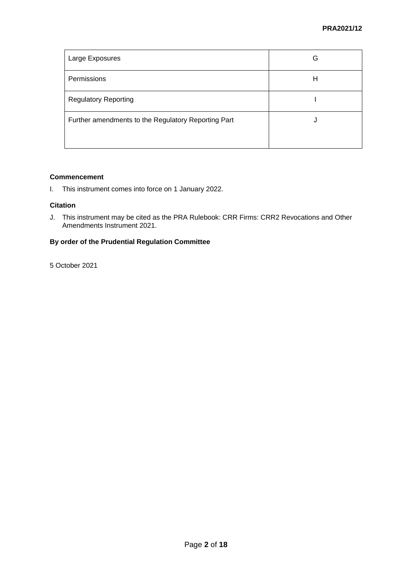| Large Exposures                                     | G |
|-----------------------------------------------------|---|
| Permissions                                         | Н |
| <b>Regulatory Reporting</b>                         |   |
| Further amendments to the Regulatory Reporting Part | U |
|                                                     |   |

# **Commencement**

I. This instrument comes into force on 1 January 2022.

# **Citation**

J. This instrument may be cited as the PRA Rulebook: CRR Firms: CRR2 Revocations and Other Amendments Instrument 2021.

# **By order of the Prudential Regulation Committee**

5 October 2021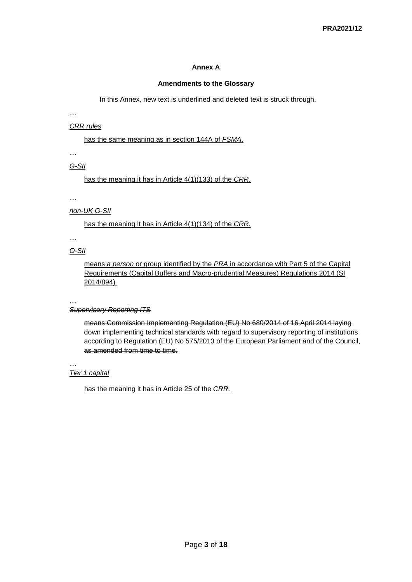## **Annex A**

#### **Amendments to the Glossary**

In this Annex, new text is underlined and deleted text is struck through.

*…*

#### *CRR rules*

has the same meaning as in section 144A of *FSMA*.

*…*

*G-SII*

has the meaning it has in Article 4(1)(133) of the *CRR*.

*…*

# *non-UK G-SII*

has the meaning it has in Article 4(1)(134) of the *CRR*.

*…*

# *O-SII*

means a *person* or group identified by the *PRA* in accordance with Part 5 of the Capital Requirements (Capital Buffers and Macro-prudential Measures) Regulations 2014 (SI 2014/894)*.*

#### … *Supervisory Reporting ITS*

means Commission Implementing Regulation (EU) No 680/2014 of 16 April 2014 laying down implementing technical standards with regard to supervisory reporting of institutions according to Regulation (EU) No 575/2013 of the European Parliament and of the Council, as amended from time to time.

#### *… Tier 1 capital*

has the meaning it has in Article 25 of the *CRR*.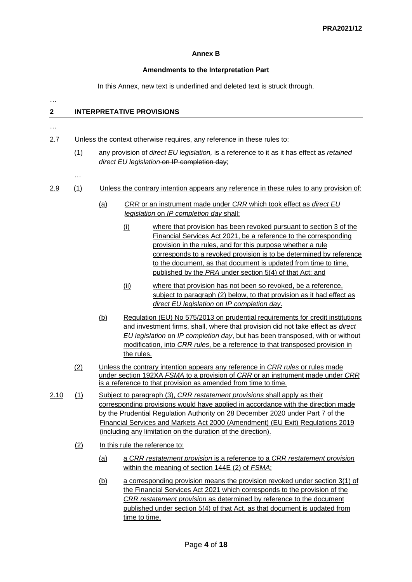# **Annex B**

## **Amendments to the Interpretation Part**

In this Annex, new text is underlined and deleted text is struck through.

# **2 INTERPRETATIVE PROVISIONS**

…

…

2.7 Unless the context otherwise requires, any reference in these rules to:

- (1) any provision of *direct EU legislation,* is a reference to it as it has effect as *retained direct EU legislation* on IP completion day;
- …

# 2.9 (1) Unless the contrary intention appears any reference in these rules to any provision of:

- (a) *CRR* or an instrument made under *CRR* which took effect as *direct EU legislation* on *IP completion day* shall:
	- (i) where that provision has been revoked pursuant to section 3 of the Financial Services Act 2021, be a reference to the corresponding provision in the rules, and for this purpose whether a rule corresponds to a revoked provision is to be determined by reference to the document, as that document is updated from time to time, published by the *PRA* under section 5(4) of that Act; and
	- (ii) where that provision has not been so revoked, be a reference, subject to paragraph (2) below, to that provision as it had effect as *direct EU legislation* on *IP completion day*.
- (b) Regulation (EU) No 575/2013 on prudential requirements for credit institutions and investment firms, shall, where that provision did not take effect as *direct EU legislation* on *IP completion day*, but has been transposed, with or without modification, into *CRR rules*, be a reference to that transposed provision in the rules.
- (2) Unless the contrary intention appears any reference in *CRR rules* or rules made under section 192XA *FSMA* to a provision of *CRR* or an instrument made under *CRR* is a reference to that provision as amended from time to time.
- 2.10 (1) Subject to paragraph (3), *CRR restatement provisions* shall apply as their corresponding provisions would have applied in accordance with the direction made by the Prudential Regulation Authority on 28 December 2020 under Part 7 of the Financial Services and Markets Act 2000 (Amendment) (EU Exit) Regulations 2019 (including any limitation on the duration of the direction).
	- (2) In this rule the reference to:
		- (a) a *CRR restatement provision* is a reference to a *CRR restatement provision* within the meaning of section 144E (2) of *FSMA*;
		- (b) a corresponding provision means the provision revoked under section 3(1) of the Financial Services Act 2021 which corresponds to the provision of the *CRR restatement provision* as determined by reference to the document published under section 5(4) of that Act, as that document is updated from time to time.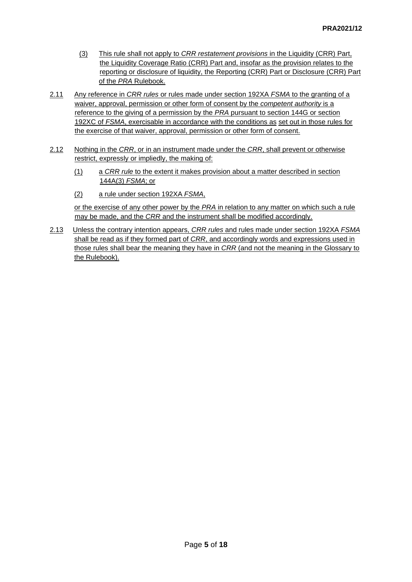- (3) This rule shall not apply to *CRR restatement provisions* in the Liquidity (CRR) Part, the Liquidity Coverage Ratio (CRR) Part and, insofar as the provision relates to the reporting or disclosure of liquidity, the Reporting (CRR) Part or Disclosure (CRR) Part of the *PRA* Rulebook.
- 2.11 Any reference in *CRR rules* or rules made under section 192XA *FSMA* to the granting of a waiver, approval, permission or other form of consent by the *competent authority* is a reference to the giving of a permission by the *PRA* pursuant to section 144G or section 192XC of *FSMA*, exercisable in accordance with the conditions as set out in those rules for the exercise of that waiver, approval, permission or other form of consent.
- 2.12 Nothing in the *CRR*, or in an instrument made under the *CRR*, shall prevent or otherwise restrict, expressly or impliedly, the making of:
	- (1) a *CRR rule* to the extent it makes provision about a matter described in section 144A(3) *FSMA*; or
	- (2) a rule under section 192XA *FSMA*,

or the exercise of any other power by the *PRA* in relation to any matter on which such a rule may be made, and the *CRR* and the instrument shall be modified accordingly.

2.13 Unless the contrary intention appears, *CRR rules* and rules made under section 192XA *FSMA* shall be read as if they formed part of *CRR*, and accordingly words and expressions used in those rules shall bear the meaning they have in *CRR* (and not the meaning in the Glossary to the Rulebook).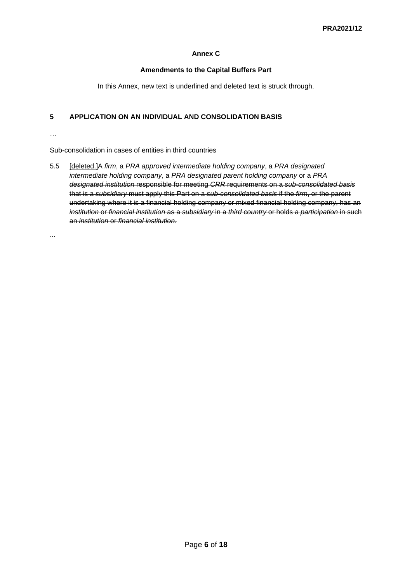# **Annex C**

## **Amendments to the Capital Buffers Part**

In this Annex, new text is underlined and deleted text is struck through.

# **5 APPLICATION ON AN INDIVIDUAL AND CONSOLIDATION BASIS**

Sub-consolidation in cases of entities in third countries

5.5 [deleted.]A *firm*, a *PRA approved intermediate holding company*, a *PRA designated intermediate holding company*, a *PRA designated parent holding company* or a *PRA designated institution* responsible for meeting *CRR* requirements on a *sub-consolidated basis* that is a *subsidiary* must apply this Part on a *sub-consolidated basis* if the *firm*, or the parent undertaking where it is a financial holding company or mixed financial holding company, has an *institution* or *financial institution* as a *subsidiary* in a *third country* or holds a *participation* in such an *institution* or *financial institution*.

...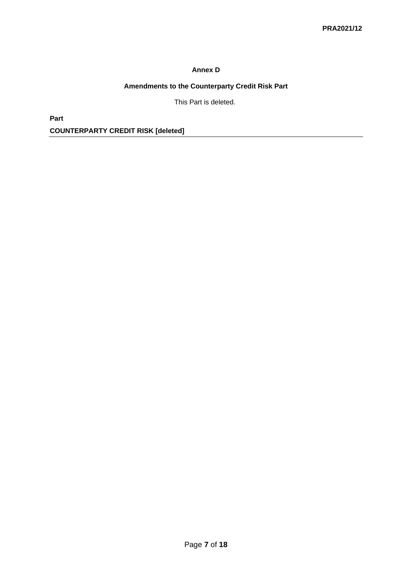# **Annex D**

# **Amendments to the Counterparty Credit Risk Part**

This Part is deleted.

**Part COUNTERPARTY CREDIT RISK [deleted]**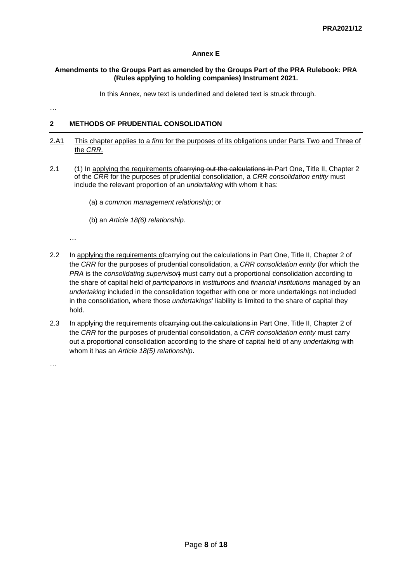## **Annex E**

#### **Amendments to the Groups Part as amended by the Groups Part of the PRA Rulebook: PRA (Rules applying to holding companies) Instrument 2021.**

In this Annex, new text is underlined and deleted text is struck through.

…

# **2 METHODS OF PRUDENTIAL CONSOLIDATION**

- 2.A1 This chapter applies to a *firm* for the purposes of its obligations under Parts Two and Three of the *CRR.*
- 2.1 (1) In applying the requirements of carrying out the calculations in Part One, Title II, Chapter 2 of the *CRR* for the purposes of prudential consolidation, a *CRR consolidation entity* must include the relevant proportion of an *undertaking* with whom it has:
	- (a) a *common management relationship*; or
	- (b) an *Article 18(6) relationship*.

…

- 2.2 In applying the requirements of carrying out the calculations in Part One, Title II, Chapter 2 of the *CRR* for the purposes of prudential consolidation, a *CRR consolidation entity* (for which the *PRA* is the *consolidating supervisor*) must carry out a proportional consolidation according to the share of capital held of *participation[s](http://www.prarulebook.co.uk/rulebook/Glossary/FullDefinition/52375/19-01-2021)* in *institutions* and *financial institutions* managed by an *undertaking* included in the consolidation together with one or more undertakings not included in the consolidation, where those *undertakings*' liability is limited to the share of capital they hold.
- 2.3 In applying the requirements of carrying out the calculations in Part One, Title II, Chapter 2 of the *CRR* for the purposes of prudential consolidation, a *CRR consolidation entity* must carry out a proportional consolidation according to the share of capital held of any *undertaking* with whom it has an *Article 18(5) relationship*.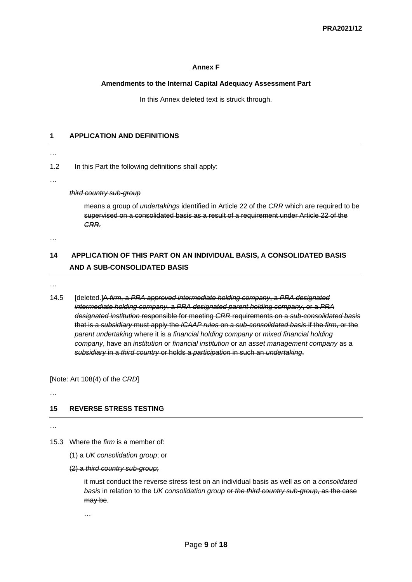#### **Annex F**

#### **Amendments to the Internal Capital Adequacy Assessment Part**

In this Annex deleted text is struck through.

#### **1 APPLICATION AND DEFINITIONS**

…

1.2 In this Part the following definitions shall apply:

…

*third country sub-group*

means a group of *undertakings* identified in Article 22 of the *CRR* which are required to be supervised on a consolidated basis as a result of a requirement under Article 22 of the *CRR.*

…

# **14 APPLICATION OF THIS PART ON AN INDIVIDUAL BASIS, A CONSOLIDATED BASIS AND A SUB-CONSOLIDATED BASIS**

…

14.5 [deleted.]A *firm*, a *PRA approved intermediate holding company*, a *PRA designated intermediate holding company*, a *PRA designated parent holding company*, or a *PRA designated institution* responsible for meeting *CRR* requirements on a *sub-consolidated basis* that is a *subsidiary* must apply the *ICAAP rules* on a *sub-consolidated basis* if the *firm*, or the *parent undertaking* where it is a *financial holding company* or *mixed financial holding company*, have an *institution* or *financial institution* or an *asset management company* as a *subsidiary* in a *third country* or holds a *participation* in such an *undertaking*.

[Note: Art 108(4) of the *CRD*]

…

#### **15 REVERSE STRESS TESTING**

…

15.3 Where the *firm* is a member of:

(1) a *UK consolidation group*; or

(2) a *third country sub-group*;

it must conduct the reverse stress test on an individual basis as well as on a *consolidated basis* in relation to the *UK consolidation group* or *the third country sub-group*, as the case may be.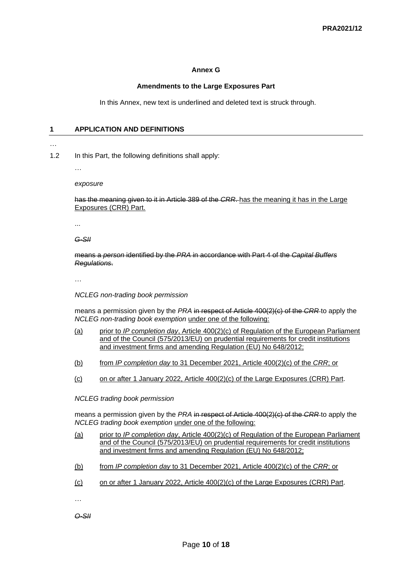#### **Annex G**

#### **Amendments to the Large Exposures Part**

In this Annex, new text is underlined and deleted text is struck through.

#### **1 APPLICATION AND DEFINITIONS**

#### …

1.2 In this Part, the following definitions shall apply:

…

*exposure*

has the meaning given to it in Article 389 of the *CRR*. has the meaning it has in the Large Exposures (CRR) Part.

...

*G-SII* 

means a *person* identified by the *PRA* in accordance with Part 4 of the *Capital Buffers Regulations*.

…

 *NCLEG non-trading book permission*

means a permission given by the *PRA* in respect of Article 400(2)(c) of the *CRR* to apply the *NCLEG non-trading book exemption* under one of the following:

- (a) prior to *IP completion day*, Article 400(2)(c) of Regulation of the European Parliament and of the Council (575/2013/EU) on prudential requirements for credit institutions and investment firms and amending Regulation (EU) No 648/2012;
- (b) from *IP completion day* to 31 December 2021, Article 400(2)(c) of the *CRR*; or
- (c) on or after 1 January 2022, Article 400(2)(c) of the Large Exposures (CRR) Part.

*NCLEG trading book permission*

means a permission given by the *PRA* in respect of Article 400(2)(c) of the *CRR* to apply the *NCLEG trading book exemption* under one of the following:

- (a) prior to *IP completion day*, Article 400(2)(c) of Regulation of the European Parliament and of the Council (575/2013/EU) on prudential requirements for credit institutions and investment firms and amending Regulation (EU) No 648/2012;
- (b) from *IP completion day* to 31 December 2021, Article 400(2)(c) of the *CRR*; or
- (c) on or after 1 January 2022, Article 400(2)(c) of the Large Exposures (CRR) Part.

…

*O-SII*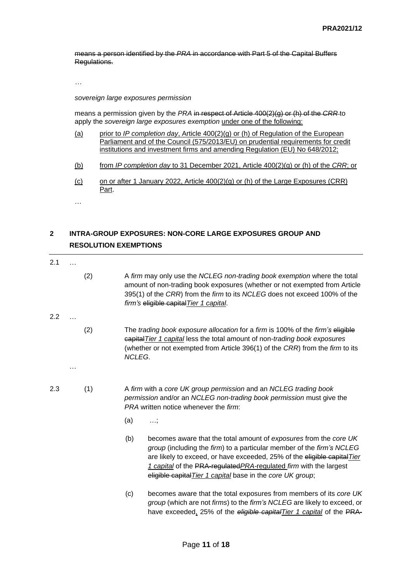means a person identified by the *PRA* in accordance with Part 5 of the Capital Buffers Regulations.

*…*

#### *sovereign large exposures permission*

means a permission given by the *PRA* in respect of Article 400(2)(g) or (h) of the *CRR* to apply the *sovereign large exposures exemption* under one of the following:

- (a) prior to *IP completion day*, Article 400(2)(g) or (h) of Regulation of the European Parliament and of the Council (575/2013/EU) on prudential requirements for credit institutions and investment firms and amending Regulation (EU) No 648/2012;
- (b) from *IP completion day* to 31 December 2021, Article 400(2)(g) or (h) of the *CRR*; or
- (c) on or after 1 January 2022, Article 400(2)(g) or (h) of the Large Exposures (CRR) Part.

…

# **2 INTRA-GROUP EXPOSURES: NON-CORE LARGE EXPOSURES GROUP AND RESOLUTION EXEMPTIONS**

- 2.1 …
- (2) A *firm* may only use the *NCLEG non-trading book exemption* where the total amount of non-trading book exposures (whether or not exempted from Article 395(1) of the *CRR*) from the *firm* to its *NCLEG* does not exceed 100% of the *firm's* eligible capital*Tier 1 capital*.
- 2.2 …

- (2) The *trading book exposure allocation* for a *firm* is 100% of the *firm's* eligible capital*Tier 1 capital* less the total amount of non-*trading book exposures* (whether or not exempted from Article 396(1) of the *CRR*) from the *firm* to its *NCLEG*.
- 2.3 (1) A *firm* with a *core UK group permission* and an *NCLEG trading book permission* and/or an *NCLEG non-trading book permission* must give the *PRA* written notice whenever the *firm*:
	- (a) …;
	- (b) becomes aware that the total amount of *exposures* from the *core UK group* (including the *firm*) to a particular member of the *firm's NCLEG* are likely to exceed, or have exceeded, 25% of the eligible capital*Tier 1 capital* of the PRA-regulated*PRA-*regulated *firm* with the largest eligible capital*Tier 1 capital* base in the *core UK group*;
	- (c) becomes aware that the total exposures from members of its *core UK group* (which are not *firms*) to the *firm's NCLEG* are likely to exceed, or have exceeded, 25% of the *eligible capitalTier 1 capital* of the PRA-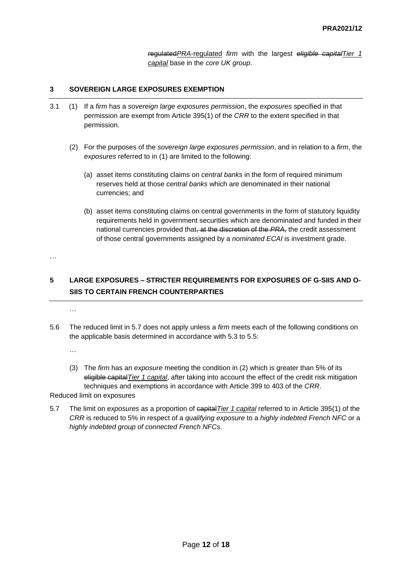regulated*PRA*-regulated *firm* with the largest *eligible capitalTier 1 capital* base in the *core UK group*.

## **3 SOVEREIGN LARGE EXPOSURES EXEMPTION**

- 3.1 (1) If a *firm* has a *sovereign large exposures permission*, the *exposures* specified in that permission are exempt from Article 395(1) of the *CRR* to the extent specified in that permission.
	- (2) For the purposes of the *sovereign large exposures permission*, and in relation to a *firm*, the *exposures* referred to in (1) are limited to the following:
		- (a) asset items constituting claims on *central banks* in the form of required minimum reserves held at those *central banks* which are denominated in their national currencies; and
		- (b) asset items constituting claims on central governments in the form of statutory liquidity requirements held in government securities which are denominated and funded in their national currencies provided that, at the discretion of the *PRA*, the credit assessment of those central governments assigned by a *nominated ECAI* is investment grade.

…

# **5 LARGE EXPOSURES – STRICTER REQUIREMENTS FOR EXPOSURES OF G-SIIS AND O-SIIS TO CERTAIN FRENCH COUNTERPARTIES**

- …
- 5.6 The reduced limit in 5.7 does not apply unless a *firm* meets each of the following conditions on the applicable basis determined in accordance with 5.3 to 5.5:

…

(3) The *firm* has an *exposure* meeting the condition in (2) which is greater than 5% of its eligible capital*Tier 1 capital*, after taking into account the effect of the credit risk mitigation techniques and exemptions in accordance with Article 399 to 403 of the *CRR*.

Reduced limit on exposures

5.7 The limit on *exposures* as a proportion of capital*Tier 1 capital* referred to in Article 395(1) of the *CRR* is reduced to 5% in respect of a *qualifying exposure* to a *highly indebted French NFC* or a *highly indebted group of connected French NFCs*.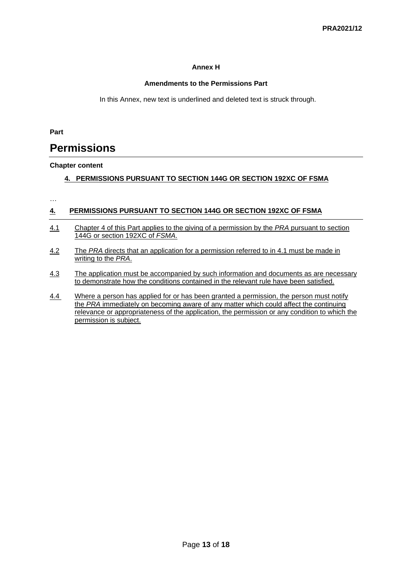# **Annex H**

# **Amendments to the Permissions Part**

In this Annex, new text is underlined and deleted text is struck through.

**Part** 

# **Permissions**

# **Chapter content**

# **4. PERMISSIONS PURSUANT TO SECTION 144G OR SECTION 192XC OF FSMA**

…

# **4. PERMISSIONS PURSUANT TO SECTION 144G OR SECTION 192XC OF FSMA**

- 4.1 Chapter 4 of this Part applies to the giving of a permission by the *PRA* pursuant to section 144G or section 192XC of *FSMA*.
- 4.2 The *PRA* directs that an application for a permission referred to in 4.1 must be made in writing to the *PRA*.
- 4.3 The application must be accompanied by such information and documents as are necessary to demonstrate how the conditions contained in the relevant rule have been satisfied.
- 4.4 Where a person has applied for or has been granted a permission, the person must notify the *PRA* immediately on becoming aware of any matter which could affect the continuing relevance or appropriateness of the application, the permission or any condition to which the permission is subject.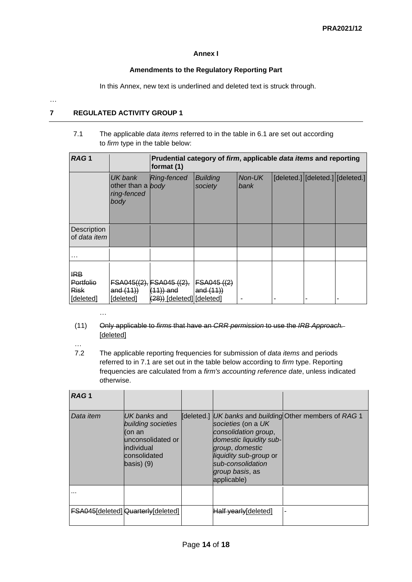# **Annex I**

# **Amendments to the Regulatory Reporting Part**

In this Annex, new text is underlined and deleted text is struck through.

# …

# **7 REGULATED ACTIVITY GROUP 1**

7.1 The applicable *data [items](http://www.prarulebook.co.uk/rulebook/Glossary/FullDefinition/67064/31-03-2019)* referred to in the table in [6.1](http://www.prarulebook.co.uk/rulebook/Content/Rule/302736/31-03-2019#302736) are set out according to *[firm](http://www.prarulebook.co.uk/rulebook/Glossary/FullDefinition/52114/31-03-2019)* type in the table below:

| RAG <sub>1</sub>                                    |                                                     | format (1)                                                            | Prudential category of firm, applicable data items and reporting |                |  |                                  |
|-----------------------------------------------------|-----------------------------------------------------|-----------------------------------------------------------------------|------------------------------------------------------------------|----------------|--|----------------------------------|
|                                                     | UK bank<br>other than a body<br>ring-fenced<br>body | <b>Ring-fenced</b>                                                    | <b>Building</b><br>society                                       | Non-UK<br>bank |  | [deleted.] [deleted.] [deleted.] |
| Description<br>of data item                         |                                                     |                                                                       |                                                                  |                |  |                                  |
|                                                     |                                                     |                                                                       |                                                                  |                |  |                                  |
| <b>IRB</b><br>Portfolio<br><b>Risk</b><br>[deleted] | and $(11)$<br>[deleted]                             | FSA045((2), FSA045 ((2),<br>$(11)$ ) and<br>(28)) [deleted] [deleted] | FSAO45 ((2)<br>and $(11)$                                        |                |  | -                                |

- (11) Only applicable to *firms* that have an *CRR permission* to use the *IRB Approach.*  [deleted]
- …

…

7.2 The applicable reporting frequencies for submission of *data items* and periods referred to in 7.1 are set out in the table below according to *firm* type. Reporting frequencies are calculated from a *firm's accounting reference date*, unless indicated otherwise.

| RAG <sub>1</sub>     |                                                                                                                          |                                                                                                                                                                           |                                                         |
|----------------------|--------------------------------------------------------------------------------------------------------------------------|---------------------------------------------------------------------------------------------------------------------------------------------------------------------------|---------------------------------------------------------|
| Data item            | UK banks and<br>building societies<br>l(on an<br>lunconsolidated or<br>lindividual<br>consolidated<br>$\vert$ basis) (9) | societies (on a UK<br>consolidation group,<br>domestic liquidity sub-<br>group, domestic<br>liquidity sub-group or<br>sub-consolidation<br>group basis, as<br>applicable) | [deleted.] UK banks and building Other members of RAG 1 |
| $\sim$ $\sim$ $\sim$ |                                                                                                                          |                                                                                                                                                                           |                                                         |
|                      | <b>FSA045</b> [deleted] <b>Quarterly</b> [deleted]                                                                       | Half yearly[deleted]                                                                                                                                                      |                                                         |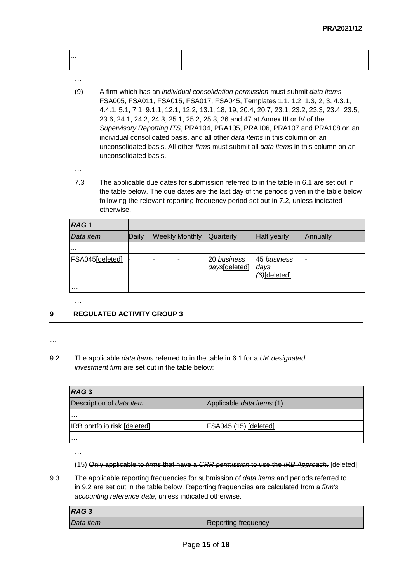| . |  |  |
|---|--|--|
| . |  |  |
|   |  |  |
|   |  |  |

- …
- (9) A firm which has an *individual consolidation permission* must submit *data items* FSA005, FSA011, FSA015, FSA017, FSA045, Templates 1.1, 1.2, 1.3, 2, 3, 4.3.1, 4.4.1, 5.1, 7.1, 9.1.1, 12.1, 12.2, 13.1, 18, 19, 20.4, 20.7, 23.1, 23.2, 23.3, 23.4, 23.5, 23.6, 24.1, 24.2, 24.3, 25.1, 25.2, 25.3, 26 and 47 at Annex III or IV of the *Supervisory Reporting ITS*, PRA104, PRA105, PRA106, PRA107 and PRA108 on an individual consolidated basis, and all other *data items* in this column on an unconsolidated basis. All other *firms* must submit all *data items* in this column on an unconsolidated basis.
- …

…

7.3 The applicable due dates for submission referred to in the table in 6.1 are set out in the table below. The due dates are the last day of the periods given in the table below following the relevant reporting frequency period set out in 7.2, unless indicated otherwise.

| RAG <sub>1</sub> |       |                       |                                         |                                                |          |
|------------------|-------|-----------------------|-----------------------------------------|------------------------------------------------|----------|
| Data <i>item</i> | Daily | <b>Weekly Monthly</b> | <b>Quarterly</b>                        | Half yearly                                    | Annually |
|                  |       |                       |                                         |                                                |          |
| FSA045[deleted]  |       |                       | <del>20 business</del><br>days[deleted] | <del>45 business</del><br>days<br>(6)[deleted] |          |
| .                |       |                       |                                         |                                                |          |

# **9 REGULATED ACTIVITY GROUP 3**

# 9.2 The applicable *data items* referred to in the table in 6.1 for a *UK designated investment firm* are set out in the table below:

| RAG3                               |                              |
|------------------------------------|------------------------------|
| Description of data item           | Applicable data items (1)    |
| $\cdots$                           |                              |
| <b>RB</b> portfolio risk [deleted] | <b>FSA045 (15)</b> [deleted] |
| .                                  |                              |

- (15) Only applicable to *firms* that have a *CRR permission* to use the *IRB Approach*. [deleted]
- 9.3 The applicable reporting frequencies for submission of *data items* and periods referred to in 9.2 are set out in the table below. Reporting frequencies are calculated from a *firm's accounting reference date*, unless indicated otherwise.

| RAG <sub>3</sub> |                     |
|------------------|---------------------|
| Data item        | Reporting frequency |

<sup>…</sup>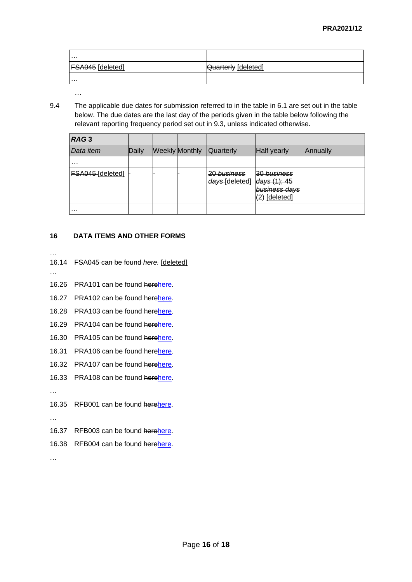| .                       |                            |
|-------------------------|----------------------------|
| <b>FSA045</b> [deleted] | <b>Quarterly</b> [deleted] |
| .                       |                            |

9.4 The applicable due dates for submission referred to in the table in 6.1 are set out in the table below. The due dates are the last day of the periods given in the table below following the relevant reporting frequency period set out in 9.3, unless indicated otherwise.

| RAG <sub>3</sub> |       |                       |                               |                                                              |          |
|------------------|-------|-----------------------|-------------------------------|--------------------------------------------------------------|----------|
| Data item        | Daily | <b>Weekly Monthly</b> | <b>Quarterly</b>              | Half yearly                                                  | Annually |
| .                |       |                       |                               |                                                              |          |
| FSA045-[deleted] |       |                       | 20 business<br>days [deleted] | 30 business<br>days(1); 45<br>business days<br>(2) [deleted] |          |
| $\cdots$         |       |                       |                               |                                                              |          |

# **16 DATA ITEMS AND OTHER FORMS**

- … 16.14 FSA045 can be found *here.* [deleted]
- …

…

- 16.26 PRA101 can be found her[ehere.](https://www.bankofengland.co.uk/-/media/boe/files/prudential-regulation/regulatory-reporting/banking/pra101-template-jan-2022.xlsx)
- 16.27 PRA102 can be found her[ehere.](https://www.bankofengland.co.uk/-/media/boe/files/prudential-regulation/regulatory-reporting/banking/pra102-template-jan-2022.xlsx)
- 16.28 PRA103 can be found her[ehere.](https://www.bankofengland.co.uk/-/media/boe/files/prudential-regulation/regulatory-reporting/banking/pra103-template-jan-2022.xlsx)
- 16.29 PRA104 can be found her[ehere.](https://www.bankofengland.co.uk/-/media/boe/files/prudential-regulation/regulatory-reporting/banking/pra104-template-jan-2022.xlsx)
- 16.30 PRA105 can be found her[ehere.](https://www.bankofengland.co.uk/-/media/boe/files/prudential-regulation/regulatory-reporting/banking/pra105-template-jan-2022.xlsx)
- 16.31 PRA106 can be found her[ehere.](https://www.bankofengland.co.uk/-/media/boe/files/prudential-regulation/regulatory-reporting/banking/pra106-template-jan-2022.xlsx)
- 16.32 PRA107 can be found her[ehere.](https://www.bankofengland.co.uk/-/media/boe/files/prudential-regulation/regulatory-reporting/banking/pra107-template-jan-2022.xlsx)
- 16.33 PRA108 can be found her[ehere.](https://www.bankofengland.co.uk/-/media/boe/files/prudential-regulation/regulatory-reporting/banking/pra108-template-jan-2022.xlsx)

…

16.35 RFB001 can be found her[ehere.](https://www.bankofengland.co.uk/-/media/boe/files/prudential-regulation/regulatory-reporting/banking/rfb001-template-jan-2022.xlsx)

…

- 16.37 RFB003 can be found her[ehere.](https://www.bankofengland.co.uk/-/media/boe/files/prudential-regulation/regulatory-reporting/banking/rfb003-template-jan-2022.xlsx)
- 16.38 RFB004 can be found her[ehere.](https://www.bankofengland.co.uk/-/media/boe/files/prudential-regulation/regulatory-reporting/banking/rfb004-template-jan-2022.xlsx)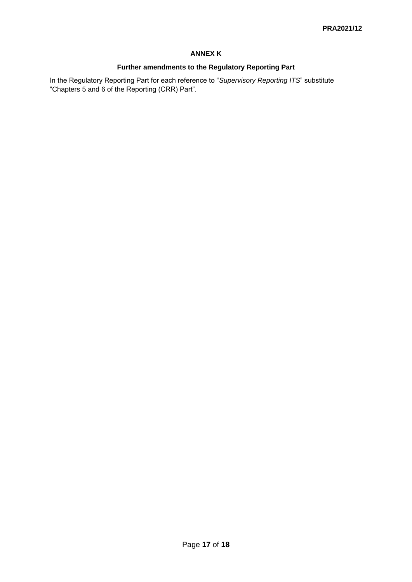# **ANNEX K**

# **Further amendments to the Regulatory Reporting Part**

In the Regulatory Reporting Part for each reference to "*Supervisory Reporting ITS*" substitute "Chapters 5 and 6 of the Reporting (CRR) Part".